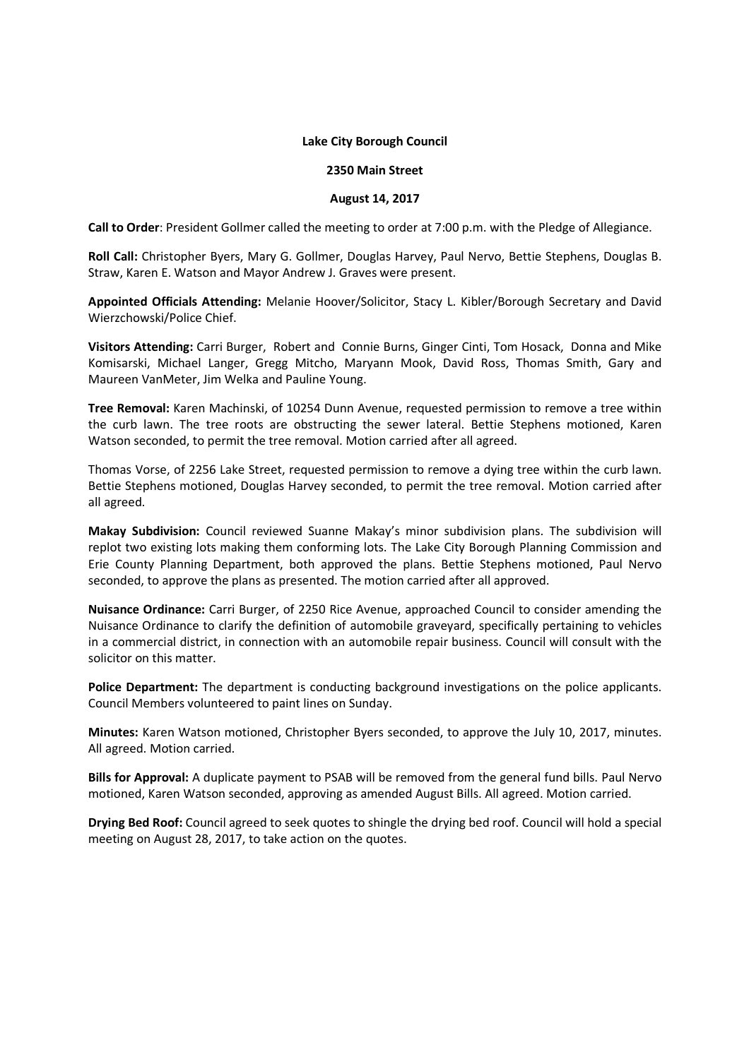## **Lake City Borough Council**

## **2350 Main Street**

## **August 14, 2017**

**Call to Order**: President Gollmer called the meeting to order at 7:00 p.m. with the Pledge of Allegiance.

**Roll Call:** Christopher Byers, Mary G. Gollmer, Douglas Harvey, Paul Nervo, Bettie Stephens, Douglas B. Straw, Karen E. Watson and Mayor Andrew J. Graves were present.

**Appointed Officials Attending:** Melanie Hoover/Solicitor, Stacy L. Kibler/Borough Secretary and David Wierzchowski/Police Chief.

**Visitors Attending:** Carri Burger, Robert and Connie Burns, Ginger Cinti, Tom Hosack, Donna and Mike Komisarski, Michael Langer, Gregg Mitcho, Maryann Mook, David Ross, Thomas Smith, Gary and Maureen VanMeter, Jim Welka and Pauline Young.

**Tree Removal:** Karen Machinski, of 10254 Dunn Avenue, requested permission to remove a tree within the curb lawn. The tree roots are obstructing the sewer lateral. Bettie Stephens motioned, Karen Watson seconded, to permit the tree removal. Motion carried after all agreed.

Thomas Vorse, of 2256 Lake Street, requested permission to remove a dying tree within the curb lawn. Bettie Stephens motioned, Douglas Harvey seconded, to permit the tree removal. Motion carried after all agreed.

**Makay Subdivision:** Council reviewed Suanne Makay's minor subdivision plans. The subdivision will replot two existing lots making them conforming lots. The Lake City Borough Planning Commission and Erie County Planning Department, both approved the plans. Bettie Stephens motioned, Paul Nervo seconded, to approve the plans as presented. The motion carried after all approved.

**Nuisance Ordinance:** Carri Burger, of 2250 Rice Avenue, approached Council to consider amending the Nuisance Ordinance to clarify the definition of automobile graveyard, specifically pertaining to vehicles in a commercial district, in connection with an automobile repair business. Council will consult with the solicitor on this matter.

**Police Department:** The department is conducting background investigations on the police applicants. Council Members volunteered to paint lines on Sunday.

**Minutes:** Karen Watson motioned, Christopher Byers seconded, to approve the July 10, 2017, minutes. All agreed. Motion carried.

**Bills for Approval:** A duplicate payment to PSAB will be removed from the general fund bills. Paul Nervo motioned, Karen Watson seconded, approving as amended August Bills. All agreed. Motion carried.

**Drying Bed Roof:** Council agreed to seek quotes to shingle the drying bed roof. Council will hold a special meeting on August 28, 2017, to take action on the quotes.